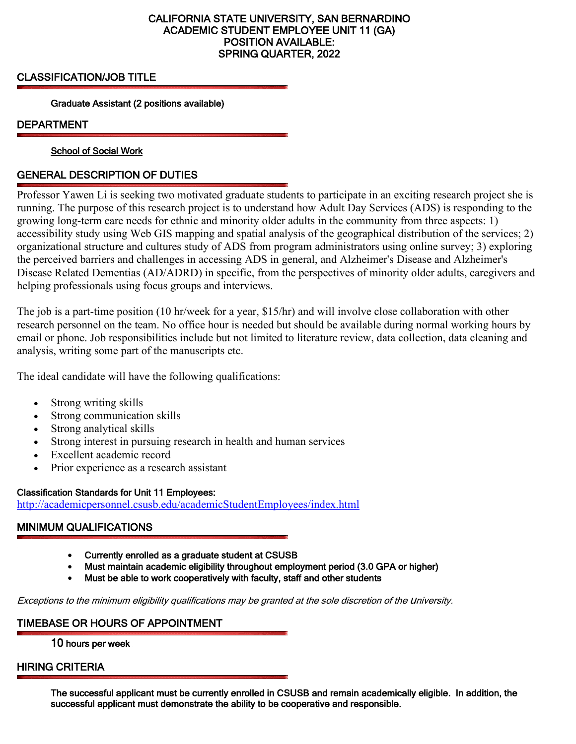## CALIFORNIA STATE UNIVERSITY, SAN BERNARDINO ACADEMIC STUDENT EMPLOYEE UNIT 11 (GA) POSITION AVAILABLE: SPRING QUARTER, 2022

CLASSIFICATION/JOB TITLE Graduate Assistant (2 positions available)

DEPARTMENT<br>School of Social Work

# GENERAL DESCRIPTION OF DUTIES

Professor Yawen Li is seeking two motivated graduate students to participate in an exciting research project she is running. The purpose of this research project is to understand how Adult Day Services (ADS) is responding to the growing long-term care needs for ethnic and minority older adults in the community from three aspects: 1) accessibility study using Web GIS mapping and spatial analysis of the geographical distribution of the services; 2) organizational structure and cultures study of ADS from program administrators using online survey; 3) exploring the perceived barriers and challenges in accessing ADS in general, and Alzheimer's Disease and Alzheimer's Disease Related Dementias (AD/ADRD) in specific, from the perspectives of minority older adults, caregivers and helping professionals using focus groups and interviews.

The job is a part-time position (10 hr/week for a year, \$15/hr) and will involve close collaboration with other research personnel on the team. No office hour is needed but should be available during normal working hours by email or phone. Job responsibilities include but not limited to literature review, data collection, data cleaning and analysis, writing some part of the manuscripts etc.

The ideal candidate will have the following qualifications:

- Strong writing skills
- Strong communication skills
- Strong analytical skills
- Strong interest in pursuing research in health and human services
- Excellent academic record
- Prior experience as a research assistant

## Classification Standards for Unit 11 Employees:

<http://academicpersonnel.csusb.edu/academicStudentEmployees/index.html>

# MINIMUM QUALIFICATIONS

- Currently enrolled as a graduate student at CSUSB
- Must maintain academic eligibility throughout employment period (3.0 GPA or higher)
- Must be able to work cooperatively with faculty, staff and other students

Exceptions to the minimum eligibility qualifications may be granted at the sole discretion of the university.

## TIMEBASE OR HOURS OF APPOINTMENT

10 hours per week

HIRING CRITERIA The successful applicant must be currently enrolled in CSUSB and remain academically eligible. In addition, the successful applicant must demonstrate the ability to be cooperative and responsible.